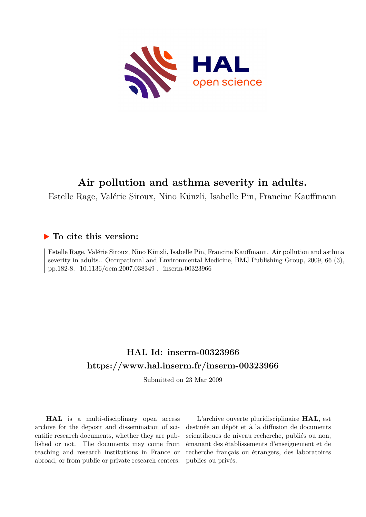

# **Air pollution and asthma severity in adults.**

Estelle Rage, Valérie Siroux, Nino Künzli, Isabelle Pin, Francine Kauffmann

# **To cite this version:**

Estelle Rage, Valérie Siroux, Nino Künzli, Isabelle Pin, Francine Kauffmann. Air pollution and asthma severity in adults.. Occupational and Environmental Medicine, BMJ Publishing Group, 2009, 66 (3), pp.182-8. 10.1136/oem.2007.038349 . inserm-00323966

# **HAL Id: inserm-00323966 <https://www.hal.inserm.fr/inserm-00323966>**

Submitted on 23 Mar 2009

**HAL** is a multi-disciplinary open access archive for the deposit and dissemination of scientific research documents, whether they are published or not. The documents may come from teaching and research institutions in France or abroad, or from public or private research centers.

L'archive ouverte pluridisciplinaire **HAL**, est destinée au dépôt et à la diffusion de documents scientifiques de niveau recherche, publiés ou non, émanant des établissements d'enseignement et de recherche français ou étrangers, des laboratoires publics ou privés.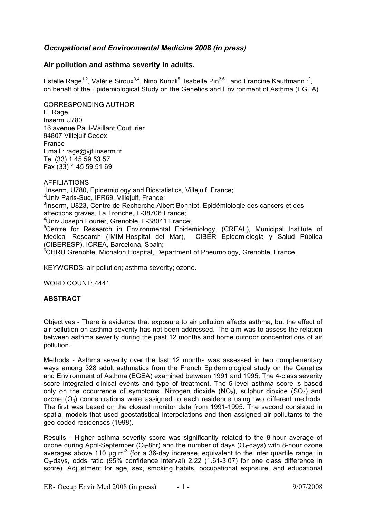# *Occupational and Environmental Medicine 2008 (in press)*

# **Air pollution and asthma severity in adults.**

Estelle Rage<sup>1,2</sup>, Valérie Siroux<sup>3,4</sup>, Nino Künzli<sup>5</sup>, Isabelle Pin<sup>3,6</sup>, and Francine Kauffmann<sup>1,2</sup>, on behalf of the Epidemiological Study on the Genetics and Environment of Asthma (EGEA)

CORRESPONDING AUTHOR E. Rage Inserm U780 16 avenue Paul-Vaillant Couturier 94807 Villejuif Cedex France Email : rage@vjf.inserm.fr Tel (33) 1 45 59 53 57 Fax (33) 1 45 59 51 69

AFFILIATIONS <sup>1</sup>Inserm, U780, Epidemiology and Biostatistics, Villejuif, France; <sup>2</sup>Univ Paris-Sud, IFR69, Villejuif, France; <sup>3</sup>Inserm, U823, Centre de Recherche Albert Bonniot, Epidémiologie des cancers et des affections graves, La Tronche, F-38706 France; 4 Univ Joseph Fourier, Grenoble, F-38041 France; <sup>5</sup>Centre for Research in Environmental Epidemiology, (CREAL), Municipal Institute of Medical Research (IMIM-Hospital del Mar), CIBER Epidemiologia y Salud Pública (CIBERESP), ICREA, Barcelona, Spain; <sup>6</sup>CHRU Grenoble, Michalon Hospital, Department of Pneumology, Grenoble, France.

KEYWORDS: air pollution; asthma severity; ozone.

WORD COUNT: 4441

#### **ABSTRACT**

Objectives - There is evidence that exposure to air pollution affects asthma, but the effect of air pollution on asthma severity has not been addressed. The aim was to assess the relation between asthma severity during the past 12 months and home outdoor concentrations of air pollution.

Methods - Asthma severity over the last 12 months was assessed in two complementary ways among 328 adult asthmatics from the French Epidemiological study on the Genetics and Environment of Asthma (EGEA) examined between 1991 and 1995. The 4-class severity score integrated clinical events and type of treatment. The 5-level asthma score is based only on the occurrence of symptoms. Nitrogen dioxide  $(NO<sub>2</sub>)$ , sulphur dioxide  $(SO<sub>2</sub>)$  and ozone  $(O_3)$  concentrations were assigned to each residence using two different methods. The first was based on the closest monitor data from 1991-1995. The second consisted in spatial models that used geostatistical interpolations and then assigned air pollutants to the geo-coded residences (1998).

Results - Higher asthma severity score was significantly related to the 8-hour average of ozone during April-September ( $O_3$ -8hr) and the number of days ( $O_3$ -days) with 8-hour ozone averages above 110  $\mu$ g.m<sup>-3</sup> (for a 36-day increase, equivalent to the inter quartile range, in O3-days, odds ratio (95% confidence interval) 2.22 (1.61-3.07) for one class difference in score). Adjustment for age, sex, smoking habits, occupational exposure, and educational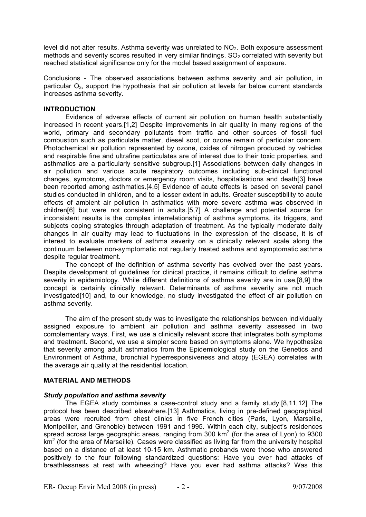level did not alter results. Asthma severity was unrelated to NO<sub>2</sub>. Both exposure assessment methods and severity scores resulted in very similar findings.  $SO<sub>2</sub>$  correlated with severity but reached statistical significance only for the model based assignment of exposure.

Conclusions - The observed associations between asthma severity and air pollution, in particular  $O_3$ , support the hypothesis that air pollution at levels far below current standards increases asthma severity.

### **INTRODUCTION**

Evidence of adverse effects of current air pollution on human health substantially increased in recent years.[1,2] Despite improvements in air quality in many regions of the world, primary and secondary pollutants from traffic and other sources of fossil fuel combustion such as particulate matter, diesel soot, or ozone remain of particular concern. Photochemical air pollution represented by ozone, oxides of nitrogen produced by vehicles and respirable fine and ultrafine particulates are of interest due to their toxic properties, and asthmatics are a particularly sensitive subgroup.[1] Associations between daily changes in air pollution and various acute respiratory outcomes including sub-clinical functional changes, symptoms, doctors or emergency room visits, hospitalisations and death[3] have been reported among asthmatics.[4,5] Evidence of acute effects is based on several panel studies conducted in children, and to a lesser extent in adults. Greater susceptibility to acute effects of ambient air pollution in asthmatics with more severe asthma was observed in children[6] but were not consistent in adults.[5,7] A challenge and potential source for inconsistent results is the complex interrelationship of asthma symptoms, its triggers, and subjects coping strategies through adaptation of treatment. As the typically moderate daily changes in air quality may lead to fluctuations in the expression of the disease, it is of interest to evaluate markers of asthma severity on a clinically relevant scale along the continuum between non-symptomatic not regularly treated asthma and symptomatic asthma despite regular treatment.

The concept of the definition of asthma severity has evolved over the past years. Despite development of guidelines for clinical practice, it remains difficult to define asthma severity in epidemiology. While different definitions of asthma severity are in use,[8,9] the concept is certainly clinically relevant. Determinants of asthma severity are not much investigated[10] and, to our knowledge, no study investigated the effect of air pollution on asthma severity.

The aim of the present study was to investigate the relationships between individually assigned exposure to ambient air pollution and asthma severity assessed in two complementary ways. First, we use a clinically relevant score that integrates both symptoms and treatment. Second, we use a simpler score based on symptoms alone. We hypothesize that severity among adult asthmatics from the Epidemiological study on the Genetics and Environment of Asthma, bronchial hyperresponsiveness and atopy (EGEA) correlates with the average air quality at the residential location.

# **MATERIAL AND METHODS**

# *Study population and asthma severity*

The EGEA study combines a case-control study and a family study.[8,11,12] The protocol has been described elsewhere.[13] Asthmatics, living in pre-defined geographical areas were recruited from chest clinics in five French cities (Paris, Lyon, Marseille, Montpellier, and Grenoble) between 1991 and 1995. Within each city, subject's residences spread across large geographic areas, ranging from 300 km<sup>2</sup> (for the area of Lyon) to 9300  $km<sup>2</sup>$  (for the area of Marseille). Cases were classified as living far from the university hospital based on a distance of at least 10-15 km. Asthmatic probands were those who answered positively to the four following standardized questions: Have you ever had attacks of breathlessness at rest with wheezing? Have you ever had asthma attacks? Was this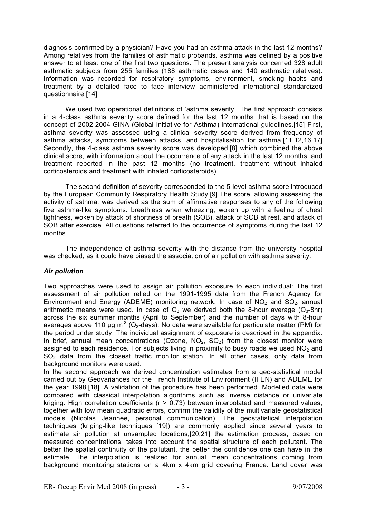diagnosis confirmed by a physician? Have you had an asthma attack in the last 12 months? Among relatives from the families of asthmatic probands, asthma was defined by a positive answer to at least one of the first two questions. The present analysis concerned 328 adult asthmatic subjects from 255 families (188 asthmatic cases and 140 asthmatic relatives). Information was recorded for respiratory symptoms, environment, smoking habits and treatment by a detailed face to face interview administered international standardized questionnaire.[14]

We used two operational definitions of 'asthma severity'. The first approach consists in a 4-class asthma severity score defined for the last 12 months that is based on the concept of 2002-2004-GINA (Global Initiative for Asthma) international guidelines.[15] First, asthma severity was assessed using a clinical severity score derived from frequency of asthma attacks, symptoms between attacks, and hospitalisation for asthma.[11,12,16,17] Secondly, the 4-class asthma severity score was developed,[8] which combined the above clinical score, with information about the occurrence of any attack in the last 12 months, and treatment reported in the past 12 months (no treatment, treatment without inhaled corticosteroids and treatment with inhaled corticosteroids)..

The second definition of severity corresponded to the 5-level asthma score introduced by the European Community Respiratory Health Study.[9] The score, allowing assessing the activity of asthma, was derived as the sum of affirmative responses to any of the following five asthma-like symptoms: breathless when wheezing, woken up with a feeling of chest tightness, woken by attack of shortness of breath (SOB), attack of SOB at rest, and attack of SOB after exercise. All questions referred to the occurrence of symptoms during the last 12 months.

The independence of asthma severity with the distance from the university hospital was checked, as it could have biased the association of air pollution with asthma severity.

# *Air pollution*

Two approaches were used to assign air pollution exposure to each individual: The first assessment of air pollution relied on the 1991-1995 data from the French Agency for Environment and Energy (ADEME) monitoring network. In case of  $NO<sub>2</sub>$  and  $SO<sub>2</sub>$ , annual arithmetic means were used. In case of  $O_3$  we derived both the 8-hour average ( $O_3$ -8hr) across the six summer months (April to September) and the number of days with 8-hour averages above 110  $\mu$ g.m<sup>-3</sup> (O<sub>3</sub>-days). No data were available for particulate matter (PM) for the period under study. The individual assignment of exposure is described in the appendix. In brief, annual mean concentrations (Ozone,  $NO<sub>2</sub>$ ,  $SO<sub>2</sub>$ ) from the closest monitor were assigned to each residence. For subjects living in proximity to busy roads we used  $NO<sub>2</sub>$  and  $SO<sub>2</sub>$  data from the closest traffic monitor station. In all other cases, only data from background monitors were used.

In the second approach we derived concentration estimates from a geo-statistical model carried out by Geovariances for the French Institute of Environment (IFEN) and ADEME for the year 1998.[18]. A validation of the procedure has been performed. Modelled data were compared with classical interpolation algorithms such as inverse distance or univariate kriging. High correlation coefficients ( $r > 0.73$ ) between interpolated and measured values, together with low mean quadratic errors, confirm the validity of the multivariate geostatistical models (Nicolas Jeannée, personal communication). The geostatistical interpolation techniques (kriging-like techniques [19]) are commonly applied since several years to estimate air pollution at unsampled locations;[20,21] the estimation process, based on measured concentrations, takes into account the spatial structure of each pollutant. The better the spatial continuity of the pollutant, the better the confidence one can have in the estimate. The interpolation is realized for annual mean concentrations coming from background monitoring stations on a 4km x 4km grid covering France. Land cover was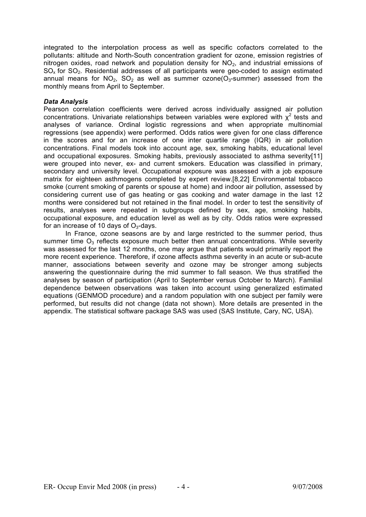integrated to the interpolation process as well as specific cofactors correlated to the pollutants: altitude and North-South concentration gradient for ozone, emission registries of nitrogen oxides, road network and population density for  $NO<sub>2</sub>$ , and industrial emissions of SO<sub>x</sub> for SO<sub>2</sub>. Residential addresses of all participants were geo-coded to assign estimated annual means for NO<sub>2</sub>, SO<sub>2</sub> as well as summer ozone( $O<sub>3</sub>$ -summer) assessed from the monthly means from April to September.

# *Data Analysis*

Pearson correlation coefficients were derived across individually assigned air pollution concentrations. Univariate relationships between variables were explored with  $x^2$  tests and analyses of variance. Ordinal logistic regressions and when appropriate multinomial regressions (see appendix) were performed. Odds ratios were given for one class difference in the scores and for an increase of one inter quartile range (IQR) in air pollution concentrations. Final models took into account age, sex, smoking habits, educational level and occupational exposures. Smoking habits, previously associated to asthma severity[11] were grouped into never, ex- and current smokers. Education was classified in primary, secondary and university level. Occupational exposure was assessed with a job exposure matrix for eighteen asthmogens completed by expert review.[8,22] Environmental tobacco smoke (current smoking of parents or spouse at home) and indoor air pollution, assessed by considering current use of gas heating or gas cooking and water damage in the last 12 months were considered but not retained in the final model. In order to test the sensitivity of results, analyses were repeated in subgroups defined by sex, age, smoking habits, occupational exposure, and education level as well as by city. Odds ratios were expressed for an increase of 10 days of  $O_3$ -days.

In France, ozone seasons are by and large restricted to the summer period, thus summer time  $O_3$  reflects exposure much better then annual concentrations. While severity was assessed for the last 12 months, one may argue that patients would primarily report the more recent experience. Therefore, if ozone affects asthma severity in an acute or sub-acute manner, associations between severity and ozone may be stronger among subjects answering the questionnaire during the mid summer to fall season. We thus stratified the analyses by season of participation (April to September versus October to March). Familial dependence between observations was taken into account using generalized estimated equations (GENMOD procedure) and a random population with one subject per family were performed, but results did not change (data not shown). More details are presented in the appendix. The statistical software package SAS was used (SAS Institute, Cary, NC, USA).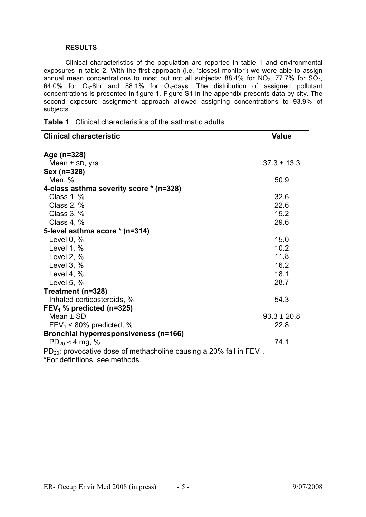### **RESULTS**

Clinical characteristics of the population are reported in table 1 and environmental exposures in table 2. With the first approach (i.e. 'closest monitor') we were able to assign annual mean concentrations to most but not all subjects:  $88.4\%$  for NO<sub>2</sub>,  $77.7\%$  for SO<sub>2</sub>, 64.0% for O<sub>3</sub>-8hr and 88.1% for O<sub>3</sub>-days. The distribution of assigned pollutant concentrations is presented in figure 1. Figure S1 in the appendix presents data by city. The second exposure assignment approach allowed assigning concentrations to 93.9% of subjects.

| <b>Clinical characteristic</b>                                               | <b>Value</b>    |
|------------------------------------------------------------------------------|-----------------|
| Age (n=328)                                                                  |                 |
| Mean $\pm$ SD, yrs                                                           | $37.3 \pm 13.3$ |
| Sex (n=328)                                                                  |                 |
| Men, %                                                                       | 50.9            |
| 4-class asthma severity score * (n=328)                                      |                 |
| Class $1, %$                                                                 | 32.6            |
| Class 2, $%$                                                                 | 22.6            |
| Class $3, %$                                                                 | 15.2            |
| Class $4, %$                                                                 | 29.6            |
| 5-level asthma score * (n=314)                                               |                 |
| Level $0, %$                                                                 | 15.0            |
| Level 1, $%$                                                                 | 10.2            |
| Level 2, $%$                                                                 | 11.8            |
| Level $3, %$                                                                 | 16.2            |
| Level 4, $%$                                                                 | 18.1            |
| Level 5, $%$                                                                 | 28.7            |
| Treatment (n=328)                                                            |                 |
| Inhaled corticosteroids, %                                                   | 54.3            |
| FEV <sub>1</sub> % predicted (n=325)                                         |                 |
| Mean $\pm$ SD                                                                | $93.3 \pm 20.8$ |
| $FEV_1 < 80\%$ predicted, %                                                  | 22.8            |
| Bronchial hyperresponsiveness (n=166)                                        |                 |
| $PD_{20} \leq 4$ mg, %                                                       | 74.1            |
| $PD_{20}$ : provocative dose of methacholine causing a 20% fall in $FEV_1$ . |                 |

|  |  | <b>Table 1</b> Clinical characteristics of the asthmatic adults |
|--|--|-----------------------------------------------------------------|
|--|--|-----------------------------------------------------------------|

PD<sub>20</sub>: provocative dose of methacholine causing a 20% fall in FEV<sub>1</sub>. \*For definitions, see methods.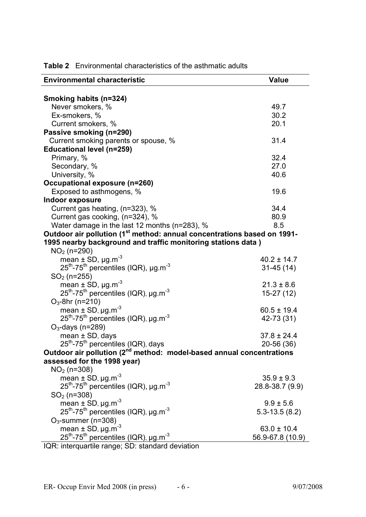| <b>Environmental characteristic</b>                                                                                 | <b>Value</b>      |
|---------------------------------------------------------------------------------------------------------------------|-------------------|
|                                                                                                                     |                   |
| Smoking habits (n=324)                                                                                              |                   |
| Never smokers, %                                                                                                    | 49.7              |
| Ex-smokers, %                                                                                                       | 30.2              |
| Current smokers, %                                                                                                  | 20.1              |
| Passive smoking (n=290)                                                                                             |                   |
| Current smoking parents or spouse, %                                                                                | 31.4              |
| <b>Educational level (n=259)</b>                                                                                    |                   |
| Primary, %                                                                                                          | 32.4              |
| Secondary, %                                                                                                        | 27.0              |
| University, %                                                                                                       | 40.6              |
| Occupational exposure (n=260)                                                                                       |                   |
| Exposed to asthmogens, %                                                                                            | 19.6              |
| Indoor exposure                                                                                                     |                   |
| Current gas heating, (n=323), %                                                                                     | 34.4              |
| Current gas cooking, (n=324), %                                                                                     | 80.9              |
| Water damage in the last 12 months (n=283), %                                                                       | 8.5               |
| Outdoor air pollution (1 <sup>st</sup> method: annual concentrations based on 1991-                                 |                   |
| 1995 nearby background and traffic monitoring stations data)                                                        |                   |
| $NO2$ (n=290)                                                                                                       |                   |
| mean $\pm$ SD, $\mu$ g.m <sup>-3</sup>                                                                              | $40.2 \pm 14.7$   |
| $25^{th}$ -75 <sup>th</sup> percentiles (IQR), µg.m <sup>-3</sup>                                                   | $31-45(14)$       |
| $SO2$ (n=255)                                                                                                       |                   |
| mean $\pm$ SD, $\mu$ g.m <sup>-3</sup>                                                                              | $21.3 \pm 8.6$    |
| $25^{th}$ -75 <sup>th</sup> percentiles (IQR), $\mu$ g.m <sup>-3</sup>                                              | $15-27(12)$       |
| $O_3$ -8hr (n=210)                                                                                                  |                   |
| mean $\pm$ SD, $\mu$ g.m <sup>-3</sup>                                                                              | $60.5 \pm 19.4$   |
| $25^{th}$ -75 <sup>th</sup> percentiles (IQR), µg.m <sup>-3</sup>                                                   | 42-73 (31)        |
| $O_3$ -days (n=289)                                                                                                 |                   |
| mean $\pm$ SD, days                                                                                                 | $37.8 \pm 24.4$   |
| 25 <sup>th</sup> -75 <sup>th</sup> percentiles (IQR), days                                                          | 20-56 (36)        |
| Outdoor air pollution (2 <sup>nd</sup> method: model-based annual concentrations                                    |                   |
| assessed for the 1998 year)                                                                                         |                   |
| $NO2$ (n=308)                                                                                                       |                   |
| mean $\pm$ SD, $\mu$ g.m <sup>-3</sup>                                                                              | $35.9 \pm 9.3$    |
| $25^{th}$ -75 <sup>th</sup> percentiles (IQR), µg.m <sup>-3</sup>                                                   | 28.8-38.7 (9.9)   |
| $SO2$ (n=308)                                                                                                       |                   |
| mean $\pm$ SD, $\mu$ g.m <sup>-3</sup>                                                                              | $9.9 \pm 5.6$     |
| $25^{th}$ -75 <sup>th</sup> percentiles (IQR), µg.m <sup>-3</sup>                                                   | $5.3 - 13.5(8.2)$ |
| $O_3$ -summer (n=308)                                                                                               |                   |
|                                                                                                                     | $63.0 \pm 10.4$   |
| mean ± SD, $\mu$ g.m <sup>-3</sup><br>25 <sup>th</sup> -75 <sup>th</sup> percentiles (IQR), $\mu$ g.m <sup>-3</sup> | 56.9-67.8 (10.9)  |
| IQR: interquartile range; SD: standard deviation                                                                    |                   |
|                                                                                                                     |                   |

**Table 2** Environmental characteristics of the asthmatic adults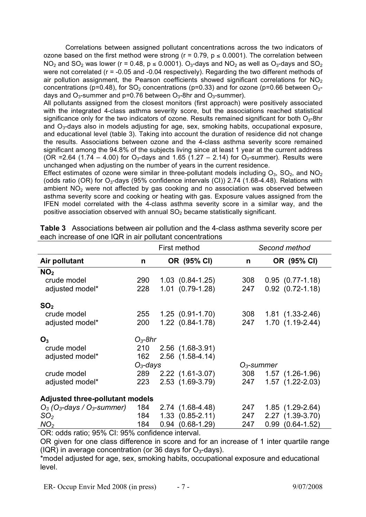Correlations between assigned pollutant concentrations across the two indicators of ozone based on the first method were strong ( $r = 0.79$ ,  $p \le 0.0001$ ). The correlation between  $NO<sub>2</sub>$  and  $SO<sub>2</sub>$  was lower (r = 0.48, p  $\leq$  0.0001).  $O<sub>3</sub>$ -days and  $NO<sub>2</sub>$  as well as  $O<sub>3</sub>$ -days and  $SO<sub>2</sub>$ were not correlated (r = -0.05 and -0.04 respectively). Regarding the two different methods of air pollution assignment, the Pearson coefficients showed significant correlations for  $NO<sub>2</sub>$ concentrations (p=0.48), for SO<sub>2</sub> concentrations (p=0.33) and for ozone (p=0.66 between O<sub>3</sub>days and  $O_3$ -summer and p=0.76 between  $O_3$ -8hr and  $O_3$ -summer).

All pollutants assigned from the closest monitors (first approach) were positively associated with the integrated 4-class asthma severity score, but the associations reached statistical significance only for the two indicators of ozone. Results remained significant for both  $O_3$ -8hr and  $O<sub>3</sub>$ -days also in models adjusting for age, sex, smoking habits, occupational exposure, and educational level (table 3). Taking into account the duration of residence did not change the results. Associations between ozone and the 4-class asthma severity score remained significant among the 94.8% of the subjects living since at least 1 year at the current address (OR = 2.64 (1.74 – 4.00) for  $O_3$ -days and 1.65 (1.27 – 2.14) for  $O_3$ -summer). Results were unchanged when adjusting on the number of years in the current residence.

Effect estimates of ozone were similar in three-pollutant models including  $O_3$ ,  $SO_2$ , and  $NO_2$ (odds ratio (OR) for  $O_3$ -days (95% confidence intervals (CI)) 2.74 (1.68-4.48). Relations with ambient  $NO<sub>2</sub>$  were not affected by gas cooking and no association was observed between asthma severity score and cooking or heating with gas. Exposure values assigned from the IFEN model correlated with the 4-class asthma severity score in a similar way, and the positive association observed with annual  $SO<sub>2</sub>$  became statistically significant.

|                                                       | First method |      |                        | Second method |      |                        |
|-------------------------------------------------------|--------------|------|------------------------|---------------|------|------------------------|
| Air pollutant                                         | n            |      | OR (95% CI)            | n             |      | OR (95% CI)            |
| NO <sub>2</sub>                                       |              |      |                        |               |      |                        |
| crude model                                           | 290          |      | $1.03$ $(0.84 - 1.25)$ | 308           |      | $0.95$ $(0.77-1.18)$   |
| adjusted model*                                       | 228          |      | $1.01$ $(0.79-1.28)$   | 247           |      | $0.92$ $(0.72 - 1.18)$ |
| SO <sub>2</sub>                                       |              |      |                        |               |      |                        |
| crude model                                           | 255          |      | $1.25(0.91-1.70)$      | 308           |      | $1.81(1.33 - 2.46)$    |
| adjusted model*                                       | 200          |      | $1.22$ $(0.84 - 1.78)$ | 247           |      | 1.70 (1.19-2.44)       |
| O <sub>3</sub>                                        | $O_3$ -8hr   |      |                        |               |      |                        |
| crude model                                           | 210          |      | 2.56 (1.68-3.91)       |               |      |                        |
| adjusted model*                                       | 162          |      | 2.56 (1.58-4.14)       |               |      |                        |
|                                                       | $O_3$ -days  |      |                        | $O3$ -summer  |      |                        |
| crude model                                           | 289          |      | $2.22(1.61-3.07)$      | 308           |      | $1.57(1.26-1.96)$      |
| adjusted model*                                       | 223          |      | 2.53 (1.69-3.79)       | 247           |      | 1.57 (1.22-2.03)       |
| <b>Adjusted three-pollutant models</b>                |              |      |                        |               |      |                        |
| $O_3$ (O <sub>3</sub> -days / O <sub>3</sub> -summer) | 184          |      | $2.74$ (1.68-4.48)     | 247           |      | $1.85(1.29-2.64)$      |
| SO <sub>2</sub>                                       | 184          |      | $1.33$ $(0.85 - 2.11)$ | 247           |      | 2.27 (1.39-3.70)       |
| NO <sub>2</sub>                                       | 184          | 0.94 | $(0.68 - 1.29)$        | 247           | 0.99 | $(0.64 - 1.52)$        |

| <b>Table 3</b> Associations between air pollution and the 4-class asthma severity score per |
|---------------------------------------------------------------------------------------------|
| each increase of one IQR in air pollutant concentrations                                    |

OR: odds ratio; 95% CI: 95% confidence interval.

OR given for one class difference in score and for an increase of 1 inter quartile range (IQR) in average concentration (or 36 days for  $O<sub>3</sub>$ -days).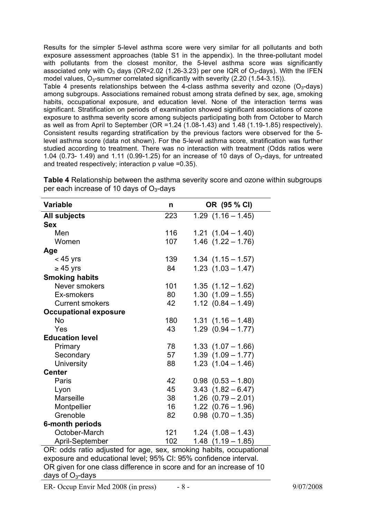Results for the simpler 5-level asthma score were very similar for all pollutants and both exposure assessment approaches (table S1 in the appendix). In the three-pollutant model with pollutants from the closest monitor, the 5-level asthma score was significantly associated only with  $O_3$  days (OR=2.02 (1.26-3.23) per one IQR of  $O_3$ -days). With the IFEN model values,  $O_3$ -summer correlated significantly with severity (2.20 (1.54-3.15)).

Table 4 presents relationships between the 4-class asthma severity and ozone ( $O<sub>3</sub>$ -days) among subgroups. Associations remained robust among strata defined by sex, age, smoking habits, occupational exposure, and education level. None of the interaction terms was significant. Stratification on periods of examination showed significant associations of ozone exposure to asthma severity score among subjects participating both from October to March as well as from April to September (OR =1.24 (1.08-1.43) and 1.48 (1.19-1.85) respectively). Consistent results regarding stratification by the previous factors were observed for the 5 level asthma score (data not shown). For the 5-level asthma score, stratification was further studied according to treatment. There was no interaction with treatment (Odds ratios were 1.04 (0.73- 1.49) and 1.11 (0.99-1.25) for an increase of 10 days of  $O<sub>3</sub>$ -days, for untreated and treated respectively; interaction p value =0.35).

| <b>Variable</b>              | n   | OR (95 % CI)           |
|------------------------------|-----|------------------------|
| <b>All subjects</b>          | 223 | $1.29$ $(1.16 - 1.45)$ |
| <b>Sex</b>                   |     |                        |
| Men                          | 116 | $1.21$ $(1.04 - 1.40)$ |
| Women                        | 107 | $1.46$ $(1.22 - 1.76)$ |
| Age                          |     |                        |
| $<$ 45 yrs                   | 139 | $1.34$ $(1.15 - 1.57)$ |
| $\geq 45$ yrs                | 84  | $1.23$ $(1.03 - 1.47)$ |
| <b>Smoking habits</b>        |     |                        |
| Never smokers                | 101 | $1.35$ $(1.12 - 1.62)$ |
| Ex-smokers                   | 80  | $1.30$ $(1.09 - 1.55)$ |
| <b>Current smokers</b>       | 42  | $1.12$ $(0.84 - 1.49)$ |
| <b>Occupational exposure</b> |     |                        |
| <b>No</b>                    | 180 | $1.31(1.16 - 1.48)$    |
| Yes                          | 43  | $1.29$ $(0.94 - 1.77)$ |
| <b>Education level</b>       |     |                        |
| Primary                      | 78  | $1.33$ $(1.07 - 1.66)$ |
| Secondary                    | 57  | $1.39$ $(1.09 - 1.77)$ |
| <b>University</b>            | 88  | $1.23$ $(1.04 - 1.46)$ |
| <b>Center</b>                |     |                        |
| Paris                        | 42  | $0.98$ $(0.53 - 1.80)$ |
| Lyon                         | 45  | $3.43$ $(1.82 - 6.47)$ |
| <b>Marseille</b>             | 38  | $1.26$ $(0.79 - 2.01)$ |
| Montpellier                  | 16  | $1.22$ $(0.76 - 1.96)$ |
| Grenoble                     | 82  | $0.98$ $(0.70 - 1.35)$ |
| 6-month periods              |     |                        |
| October-March                | 121 | $1.24$ $(1.08 - 1.43)$ |
| April-September              | 102 | $1.48$ $(1.19 - 1.85)$ |

**Table 4** Relationship between the asthma severity score and ozone within subgroups per each increase of 10 days of  $O<sub>3</sub>$ -days

OR: odds ratio adjusted for age, sex, smoking habits, occupational exposure and educational level; 95% CI: 95% confidence interval. OR given for one class difference in score and for an increase of 10 days of  $O<sub>3</sub>$ -days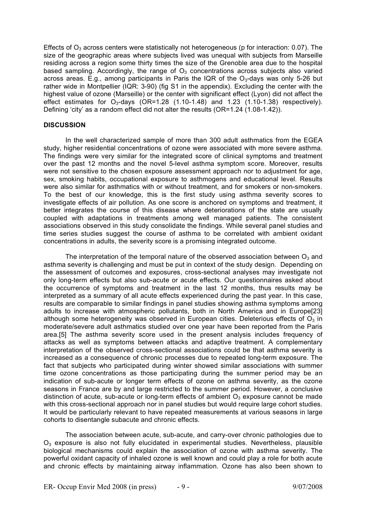Effects of  $O_3$  across centers were statistically not heterogeneous (p for interaction: 0.07). The size of the geographic areas where subjects lived was unequal with subjects from Marseille residing across a region some thirty times the size of the Grenoble area due to the hospital based sampling. Accordingly, the range of  $O<sub>3</sub>$  concentrations across subjects also varied across areas. E.g., among participants in Paris the IQR of the O<sub>3</sub>-days was only 5-26 but rather wide in Montpellier (IQR: 3-90) (fig S1 in the appendix). Excluding the center with the highest value of ozone (Marseille) or the center with significant effect (Lyon) did not affect the effect estimates for  $O_3$ -days (OR=1.28 (1.10-1.48) and 1.23 (1.10-1.38) respectively). Defining 'city' as a random effect did not alter the results (OR=1.24 (1.08-1.42)).

# **DISCUSSION**

In the well characterized sample of more than 300 adult asthmatics from the EGEA study, higher residential concentrations of ozone were associated with more severe asthma. The findings were very similar for the integrated score of clinical symptoms and treatment over the past 12 months and the novel 5-level asthma symptom score. Moreover, results were not sensitive to the chosen exposure assessment approach nor to adjustment for age, sex, smoking habits, occupational exposure to asthmogens and educational level. Results were also similar for asthmatics with or without treatment, and for smokers or non-smokers. To the best of our knowledge, this is the first study using asthma severity scores to investigate effects of air pollution. As one score is anchored on symptoms and treatment, it better integrates the course of this disease where deteriorations of the state are usually coupled with adaptations in treatments among well managed patients. The consistent associations observed in this study consolidate the findings. While several panel studies and time series studies suggest the course of asthma to be correlated with ambient oxidant concentrations in adults, the severity score is a promising integrated outcome.

The interpretation of the temporal nature of the observed association between  $O_3$  and asthma severity is challenging and must be put in context of the study design. Depending on the assessment of outcomes and exposures, cross-sectional analyses may investigate not only long-term effects but also sub-acute or acute effects. Our questionnaires asked about the occurrence of symptoms and treatment in the last 12 months, thus results may be interpreted as a summary of all acute effects experienced during the past year. In this case, results are comparable to similar findings in panel studies showing asthma symptoms among adults to increase with atmospheric pollutants, both in North America and in Europe[23] although some heterogeneity was observed in European cities. Deleterious effects of  $O<sub>3</sub>$  in moderate/severe adult asthmatics studied over one year have been reported from the Paris area.[5] The asthma severity score used in the present analysis includes frequency of attacks as well as symptoms between attacks and adaptive treatment. A complementary interpretation of the observed cross-sectional associations could be that asthma severity is increased as a consequence of chronic processes due to repeated long-term exposure. The fact that subjects who participated during winter showed similar associations with summer time ozone concentrations as those participating during the summer period may be an indication of sub-acute or longer term effects of ozone on asthma severity, as the ozone seasons in France are by and large restricted to the summer period. However, a conclusive distinction of acute, sub-acute or long-term effects of ambient  $O<sub>3</sub>$  exposure cannot be made with this cross-sectional approach nor in panel studies but would require large cohort studies. It would be particularly relevant to have repeated measurements at various seasons in large cohorts to disentangle subacute and chronic effects.

The association between acute, sub-acute, and carry-over chronic pathologies due to  $O<sub>3</sub>$  exposure is also not fully elucidated in experimental studies. Nevertheless, plausible biological mechanisms could explain the association of ozone with asthma severity. The powerful oxidant capacity of inhaled ozone is well known and could play a role for both acute and chronic effects by maintaining airway inflammation. Ozone has also been shown to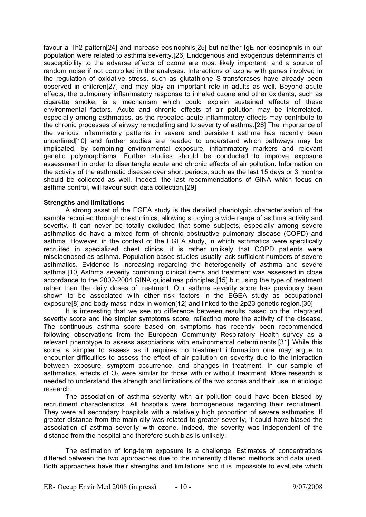favour a Th2 pattern[24] and increase eosinophils[25] but neither IgE nor eosinophils in our population were related to asthma severity.[26] Endogenous and exogenous determinants of susceptibility to the adverse effects of ozone are most likely important, and a source of random noise if not controlled in the analyses. Interactions of ozone with genes involved in the regulation of oxidative stress, such as glutathione S-transferases have already been observed in children[27] and may play an important role in adults as well. Beyond acute effects, the pulmonary inflammatory response to inhaled ozone and other oxidants, such as cigarette smoke, is a mechanism which could explain sustained effects of these environmental factors. Acute and chronic effects of air pollution may be interrelated, especially among asthmatics, as the repeated acute inflammatory effects may contribute to the chronic processes of airway remodelling and to severity of asthma.[28] The importance of the various inflammatory patterns in severe and persistent asthma has recently been underlined[10] and further studies are needed to understand which pathways may be implicated, by combining environmental exposure, inflammatory markers and relevant genetic polymorphisms. Further studies should be conducted to improve exposure assessment in order to disentangle acute and chronic effects of air pollution. Information on the activity of the asthmatic disease over short periods, such as the last 15 days or 3 months should be collected as well. Indeed, the last recommendations of GINA which focus on asthma control, will favour such data collection.[29]

# **Strengths and limitations**

A strong asset of the EGEA study is the detailed phenotypic characterisation of the sample recruited through chest clinics, allowing studying a wide range of asthma activity and severity. It can never be totally excluded that some subjects, especially among severe asthmatics do have a mixed form of chronic obstructive pulmonary disease (COPD) and asthma. However, in the context of the EGEA study, in which asthmatics were specifically recruited in specialized chest clinics, it is rather unlikely that COPD patients were misdiagnosed as asthma. Population based studies usually lack sufficient numbers of severe asthmatics. Evidence is increasing regarding the heterogeneity of asthma and severe asthma.[10] Asthma severity combining clinical items and treatment was assessed in close accordance to the 2002-2004 GINA guidelines principles,[15] but using the type of treatment rather than the daily doses of treatment. Our asthma severity score has previously been shown to be associated with other risk factors in the EGEA study as occupational exposure[8] and body mass index in women[12] and linked to the 2p23 genetic region.[30]

It is interesting that we see no difference between results based on the integrated severity score and the simpler symptoms score, reflecting more the activity of the disease. The continuous asthma score based on symptoms has recently been recommended following observations from the European Community Respiratory Health survey as a relevant phenotype to assess associations with environmental determinants.[31] While this score is simpler to assess as it requires no treatment information one may argue to encounter difficulties to assess the effect of air pollution on severity due to the interaction between exposure, symptom occurrence, and changes in treatment. In our sample of asthmatics, effects of  $O_3$  were similar for those with or without treatment. More research is needed to understand the strength and limitations of the two scores and their use in etiologic research.

The association of asthma severity with air pollution could have been biased by recruitment characteristics. All hospitals were homogeneous regarding their recruitment. They were all secondary hospitals with a relatively high proportion of severe asthmatics. If greater distance from the main city was related to greater severity, it could have biased the association of asthma severity with ozone. Indeed, the severity was independent of the distance from the hospital and therefore such bias is unlikely.

The estimation of long-term exposure is a challenge. Estimates of concentrations differed between the two approaches due to the inherently differed methods and data used. Both approaches have their strengths and limitations and it is impossible to evaluate which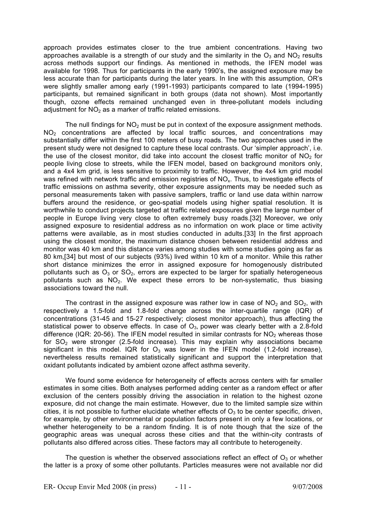approach provides estimates closer to the true ambient concentrations. Having two approaches available is a strength of our study and the similarity in the  $O_3$  and NO<sub>2</sub> results across methods support our findings. As mentioned in methods, the IFEN model was available for 1998. Thus for participants in the early 1990's, the assigned exposure may be less accurate than for participants during the later years. In line with this assumption, OR's were slightly smaller among early (1991-1993) participants compared to late (1994-1995) participants, but remained significant in both groups (data not shown). Most importantly though, ozone effects remained unchanged even in three-pollutant models including adjustment for  $NO<sub>2</sub>$  as a marker of traffic related emissions.

The null findings for  $NO<sub>2</sub>$  must be put in context of the exposure assignment methods.  $NO<sub>2</sub>$  concentrations are affected by local traffic sources, and concentrations may substantially differ within the first 100 meters of busy roads. The two approaches used in the present study were not designed to capture these local contrasts. Our 'simpler approach', i.e. the use of the closest monitor, did take into account the closest traffic monitor of  $NO<sub>2</sub>$  for people living close to streets, while the IFEN model, based on background monitors only, and a 4x4 km grid, is less sensitive to proximity to traffic. However, the 4x4 km grid model was refined with network traffic and emission registries of NO<sub>x</sub>. Thus, to investigate effects of traffic emissions on asthma severity, other exposure assignments may be needed such as personal measurements taken with passive samplers, traffic or land use data within narrow buffers around the residence, or geo-spatial models using higher spatial resolution. It is worthwhile to conduct projects targeted at traffic related exposures given the large number of people in Europe living very close to often extremely busy roads.[32] Moreover, we only assigned exposure to residential address as no information on work place or time activity patterns were available, as in most studies conducted in adults.[33] In the first approach using the closest monitor, the maximum distance chosen between residential address and monitor was 40 km and this distance varies among studies with some studies going as far as 80 km,[34] but most of our subjects (93%) lived within 10 km of a monitor. While this rather short distance minimizes the error in assigned exposure for homogenously distributed pollutants such as  $O_3$  or  $SO_2$ , errors are expected to be larger for spatially heterogeneous pollutants such as  $NO<sub>2</sub>$ . We expect these errors to be non-systematic, thus biasing associations toward the null.

The contrast in the assigned exposure was rather low in case of  $NO<sub>2</sub>$  and  $SO<sub>2</sub>$ , with respectively a 1.5-fold and 1.8-fold change across the inter-quartile range (IQR) of concentrations (31-45 and 15-27 respectively; closest monitor approach), thus affecting the statistical power to observe effects. In case of  $O<sub>3</sub>$ , power was clearly better with a 2.8-fold difference (IQR: 20-56). The IFEN model resulted in similar contrasts for  $NO<sub>2</sub>$  whereas those for  $SO<sub>2</sub>$  were stronger (2.5-fold increase). This may explain why associations became significant in this model. IQR for  $O_3$  was lower in the IFEN model (1.2-fold increase). nevertheless results remained statistically significant and support the interpretation that oxidant pollutants indicated by ambient ozone affect asthma severity.

We found some evidence for heterogeneity of effects across centers with far smaller estimates in some cities. Both analyses performed adding center as a random effect or after exclusion of the centers possibly driving the association in relation to the highest ozone exposure, did not change the main estimate. However, due to the limited sample size within cities, it is not possible to further elucidate whether effects of  $O_3$  to be center specific, driven, for example, by other environmental or population factors present in only a few locations, or whether heterogeneity to be a random finding. It is of note though that the size of the geographic areas was unequal across these cities and that the within-city contrasts of pollutants also differed across cities. These factors may all contribute to heterogeneity.

The question is whether the observed associations reflect an effect of  $O_3$  or whether the latter is a proxy of some other pollutants. Particles measures were not available nor did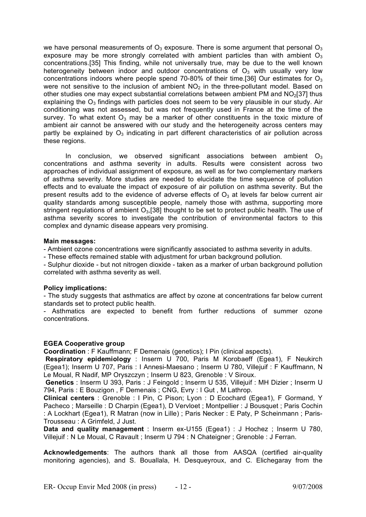we have personal measurements of  $O_3$  exposure. There is some argument that personal  $O_3$ exposure may be more strongly correlated with ambient particles than with ambient  $O_3$ concentrations.[35] This finding, while not universally true, may be due to the well known heterogeneity between indoor and outdoor concentrations of  $O<sub>3</sub>$  with usually very low concentrations indoors where people spend 70-80% of their time.[36] Our estimates for  $O_3$ were not sensitive to the inclusion of ambient  $NO<sub>2</sub>$  in the three-pollutant model. Based on other studies one may expect substantial correlations between ambient PM and  $NO<sub>2</sub>[37]$  thus explaining the  $O_3$  findings with particles does not seem to be very plausible in our study. Air conditioning was not assessed, but was not frequently used in France at the time of the survey. To what extent  $O_3$  may be a marker of other constituents in the toxic mixture of ambient air cannot be answered with our study and the heterogeneity across centers may partly be explained by  $O_3$  indicating in part different characteristics of air pollution across these regions.

In conclusion, we observed significant associations between ambient  $O_3$ concentrations and asthma severity in adults. Results were consistent across two approaches of individual assignment of exposure, as well as for two complementary markers of asthma severity. More studies are needed to elucidate the time sequence of pollution effects and to evaluate the impact of exposure of air pollution on asthma severity. But the present results add to the evidence of adverse effects of  $O<sub>3</sub>$  at levels far below current air quality standards among susceptible people, namely those with asthma, supporting more stringent regulations of ambient  $O<sub>3</sub>$ [38] thought to be set to protect public health. The use of asthma severity scores to investigate the contribution of environmental factors to this complex and dynamic disease appears very promising.

#### **Main messages:**

- Ambient ozone concentrations were significantly associated to asthma severity in adults.

- These effects remained stable with adjustment for urban background pollution.

- Sulphur dioxide - but not nitrogen dioxide - taken as a marker of urban background pollution correlated with asthma severity as well.

# **Policy implications:**

- The study suggests that asthmatics are affect by ozone at concentrations far below current standards set to protect public health.

- Asthmatics are expected to benefit from further reductions of summer ozone concentrations.

#### **EGEA Cooperative group**

**Coordination** : F Kauffmann; F Demenais (genetics); I Pin (clinical aspects).

**Respiratory epidemiology** : Inserm U 700, Paris M Korobaeff (Egea1), F Neukirch (Egea1); Inserm U 707, Paris : I Annesi-Maesano ; Inserm U 780, Villejuif : F Kauffmann, N Le Moual, R Nadif, MP Oryszczyn ; Inserm U 823, Grenoble : V Siroux.

**Genetics** : Inserm U 393, Paris : J Feingold ; Inserm U 535, Villejuif : MH Dizier ; Inserm U 794, Paris : E Bouzigon , F Demenais ; CNG, Evry : I Gut , M Lathrop.

**Clinical centers** : Grenoble : I Pin, C Pison; Lyon : D Ecochard (Egea1), F Gormand, Y Pacheco ; Marseille : D Charpin (Egea1), D Vervloet ; Montpellier : J Bousquet ; Paris Cochin : A Lockhart (Egea1), R Matran (now in Lille) ; Paris Necker : E Paty, P Scheinmann ; Paris-Trousseau : A Grimfeld, J Just.

**Data and quality management** : Inserm ex-U155 (Egea1) : J Hochez ; Inserm U 780, Villejuif : N Le Moual, C Ravault ; Inserm U 794 : N Chateigner ; Grenoble : J Ferran.

**Acknowledgements**: The authors thank all those from AASQA (certified air-quality monitoring agencies), and S. Bouallala, H. Desqueyroux, and C. Elichegaray from the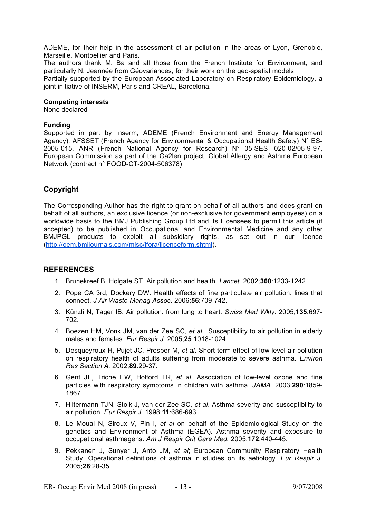ADEME, for their help in the assessment of air pollution in the areas of Lyon, Grenoble, Marseille, Montpellier and Paris.

The authors thank M. Ba and all those from the French Institute for Environment, and particularly N. Jeannée from Géovariances, for their work on the geo-spatial models.

Partially supported by the European Associated Laboratory on Respiratory Epidemiology, a joint initiative of INSERM, Paris and CREAL, Barcelona.

#### **Competing interests**

None declared

#### **Funding**

Supported in part by Inserm, ADEME (French Environment and Energy Management Agency), AFSSET (French Agency for Environmental & Occupational Health Safety) N° ES-2005-015, ANR (French National Agency for Research) N° 05-SEST-020-02/05-9-97, European Commission as part of the Ga2len project, Global Allergy and Asthma European Network (contract n° FOOD-CT-2004-506378)

# **Copyright**

The Corresponding Author has the right to grant on behalf of all authors and does grant on behalf of all authors, an exclusive licence (or non-exclusive for government employees) on a worldwide basis to the BMJ Publishing Group Ltd and its Licensees to permit this article (if accepted) to be published in Occupational and Environmental Medicine and any other BMJPGL products to exploit all subsidiary rights, as set out in our licence (http://oem.bmjjournals.com/misc/ifora/licenceform.shtml).

# **REFERENCES**

- 1. Brunekreef B, Holgate ST. Air pollution and health. *Lancet.* 2002;**360**:1233-1242.
- 2. Pope CA 3rd, Dockery DW. Health effects of fine particulate air pollution: lines that connect. *J Air Waste Manag Assoc.* 2006;**56**:709-742.
- 3. Künzli N, Tager IB. Air pollution: from lung to heart. *Swiss Med Wkly.* 2005;**135**:697- 702.
- 4. Boezen HM, Vonk JM, van der Zee SC, *et al*.. Susceptibility to air pollution in elderly males and females. *Eur Respir J.* 2005;**25**:1018-1024.
- 5. Desqueyroux H, Pujet JC, Prosper M, *et al*. Short-term effect of low-level air pollution on respiratory health of adults suffering from moderate to severe asthma. *Environ Res Section A.* 2002;**89**:29-37.
- 6. Gent JF, Triche EW, Holford TR, *et al*. Association of low-level ozone and fine particles with respiratory symptoms in children with asthma. *JAMA.* 2003;**290**:1859- 1867.
- 7. Hiltermann TJN, Stolk J, van der Zee SC, *et al*. Asthma severity and susceptibility to air pollution. *Eur Respir J.* 1998;**11**:686-693.
- 8. Le Moual N, Siroux V, Pin I, *et al* on behalf of the Epidemiological Study on the genetics and Environment of Asthma (EGEA). Asthma severity and exposure to occupational asthmagens. *Am J Respir Crit Care Med.* 2005;**172**:440-445.
- 9. Pekkanen J, Sunyer J, Anto JM, *et al*; European Community Respiratory Health Study. Operational definitions of asthma in studies on its aetiology. *Eur Respir J*. 2005;**26**:28-35.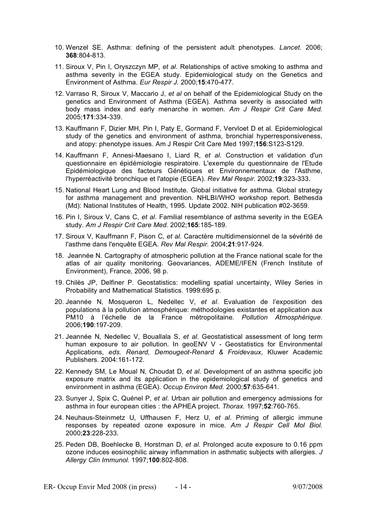- 10. Wenzel SE. Asthma: defining of the persistent adult phenotypes. *Lancet.* 2006; **368**:804-813.
- 11. Siroux V, Pin I, Oryszczyn MP, *et al*. Relationships of active smoking to asthma and asthma severity in the EGEA study. Epidemiological study on the Genetics and Environment of Asthma. *Eur Respir J.* 2000;**15**:470-477.
- 12. Varraso R, Siroux V, Maccario J, *et al* on behalf of the Epidemiological Study on the genetics and Environment of Asthma (EGEA). Asthma severity is associated with body mass index and early menarche in women. *Am J Respir Crit Care Med.* 2005;**171**:334-339.
- 13. Kauffmann F, Dizier MH, Pin I, Paty E, Gormand F, Vervloet D et al. Epidemiological study of the genetics and environment of asthma, bronchial hyperresponsiveness, and atopy: phenotype issues. Am J Respir Crit Care Med 1997;**156**:S123-S129.
- 14. Kauffmann F, Annesi-Maesano I, Liard R, *et al*. Construction et validation d'un questionnaire en épidémiologie respiratoire. L'exemple du questionnaire de l'Etude Epidémiologique des facteurs Génétiques et Environnementaux de l'Asthme, l'hyperréactivité bronchique et l'atopie (EGEA). *Rev Mal Respir.* 2002;**19**:323-333.
- 15. National Heart Lung and Blood Institute. Global initiative for asthma. Global strategy for asthma management and prevention. NHLBI/WHO workshop report. Bethesda (Md): National Institutes of Health, 1995. Update 2002. NIH publication #02-3659.
- 16. Pin I, Siroux V, Cans C, *et al*. Familial resemblance of asthma severity in the EGEA study. *Am J Respir Crit Care Med.* 2002;**165**:185-189.
- 17. Siroux V, Kauffmann F, Pison C, *et al*. Caractère multidimensionnel de la sévérité de l'asthme dans l'enquête EGEA. *Rev Mal Respir.* 2004;**21**:917-924.
- 18. Jeannée N. Cartography of atmospheric pollution at the France national scale for the atlas of air quality monitoring. Geovariances, ADEME/IFEN (French Institute of Environment), France, 2006, 98 p.
- 19. Chilès JP, Delfiner P. Geostatistics: modelling spatial uncertainty, Wiley Series in Probability and Mathematical Statistics. 1999:695 p.
- 20. Jeannée N, Mosqueron L, Nedellec V, *et al*. Evaluation de l'exposition des populations à la pollution atmosphérique: méthodologies existantes et application aux PM10 à l'échelle de la France métropolitaine. *Pollution Atmosphérique*. 2006;**190**:197-209.
- 21. Jeannée N, Nedellec V, Bouallala S, *et al*. Geostatistical assessment of long term human exposure to air pollution. In geoENV V - Geostatistics for Environmental Applications, *eds. Renard, Demougeot-Renard & Froidevaux*, Kluwer Academic Publishers. 2004:161-172.
- 22. Kennedy SM, Le Moual N, Choudat D, *et al*. Development of an asthma specific job exposure matrix and its application in the epidemiological study of genetics and environment in asthma (EGEA). *Occup Environ Med.* 2000;**57**:635-641.
- 23. Sunyer J, Spix C, Quénel P, *et al*. Urban air pollution and emergency admissions for asthma in four european cities : the APHEA project. *Thorax.* 1997;**52**:760-765.
- 24. Neuhaus-Steinmetz U, Uffhausen F, Herz U, *et al*. Priming of allergic immune responses by repeated ozone exposure in mice. *Am J Respir Cell Mol Biol.* 2000;**23**:228-233.
- 25. Peden DB, Boehlecke B, Horstman D, *et al*. Prolonged acute exposure to 0.16 ppm ozone induces eosinophilic airway inflammation in asthmatic subjects with allergies. *J Allergy Clin Immunol.* 1997;**100**:802-808.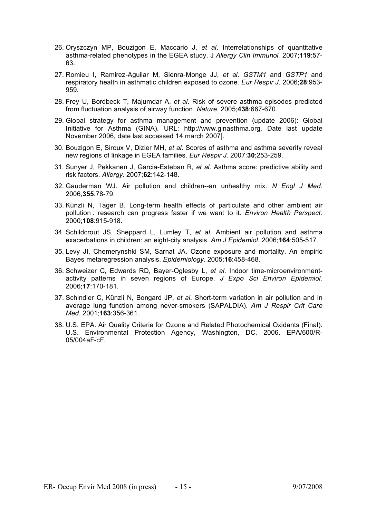- 26. Oryszczyn MP, Bouzigon E, Maccario J, *et al*. Interrelationships of quantitative asthma-related phenotypes in the EGEA study. J *Allergy Clin Immunol.* 2007;**119**:57- 63.
- 27. Romieu I, Ramirez-Aguilar M, Sienra-Monge JJ, *et al*. *GSTM1* and *GSTP1* and respiratory health in asthmatic children exposed to ozone. *Eur Respir J.* 2006;**28**:953- 959.
- 28. Frey U, Bordbeck T, Majumdar A, *et al*. Risk of severe asthma episodes predicted from fluctuation analysis of airway function. *Nature.* 2005;**438**:667-670.
- 29. Global strategy for asthma management and prevention (update 2006): Global Initiative for Asthma (GINA). URL: http://www.ginasthma.org. Date last update November 2006, date last accessed 14 march 2007].
- 30. Bouzigon E, Siroux V, Dizier MH, *et al*. Scores of asthma and asthma severity reveal new regions of linkage in EGEA families. *Eur Respir J.* 2007:**30**;253-259.
- 31. Sunyer J, Pekkanen J, Garcia-Esteban R, *et al*. Asthma score: predictive ability and risk factors. *Allergy.* 2007;**62**:142-148.
- 32. Gauderman WJ. Air pollution and children--an unhealthy mix. *N Engl J Med.* 2006;**355**:78-79.
- 33. Künzli N, Tager B. Long-term health effects of particulate and other ambient air pollution : research can progress faster if we want to it. *Environ Health Perspect.* 2000;**108**:915-918.
- 34. Schildcrout JS, Sheppard L, Lumley T, *et al*. Ambient air pollution and asthma exacerbations in children: an eight-city analysis. *Am J Epidemiol.* 2006;**164**:505-517.
- 35. Levy JI, Chemerynshki SM, Sarnat JA. Ozone exposure and mortality. An empiric Bayes metaregression analysis. *Epidemiology.* 2005;**16**:458-468.
- 36. Schweizer C, Edwards RD, Bayer-Oglesby L, *et al*. Indoor time-microenvironmentactivity patterns in seven regions of Europe. *J Expo Sci Environ Epidemiol.* 2006;**17**:170-181.
- 37. Schindler C, Künzli N, Bongard JP, *et al*. Short-term variation in air pollution and in average lung function among never-smokers (SAPALDIA). *Am J Respir Crit Care Med.* 2001;**163**:356-361.
- 38. U.S. EPA. Air Quality Criteria for Ozone and Related Photochemical Oxidants (Final). U.S. Environmental Protection Agency, Washington, DC, 2006. EPA/600/R-05/004aF-cF.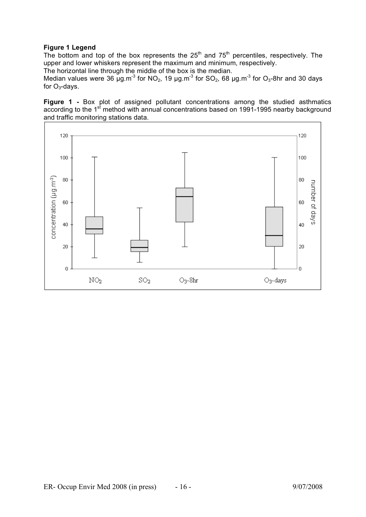# **Figure 1 Legend**

The bottom and top of the box represents the  $25<sup>th</sup>$  and  $75<sup>th</sup>$  percentiles, respectively. The upper and lower whiskers represent the maximum and minimum, respectively.

The horizontal line through the middle of the box is the median.

Median values were 36  $\mu$ g.m<sup>-3</sup> for NO<sub>2</sub>, 19  $\mu$ g.m<sup>-3</sup> for SO<sub>2</sub>, 68  $\mu$ g.m<sup>-3</sup> for O<sub>3</sub>-8hr and 30 days for  $O_3$ -days.

**Figure 1 -** Box plot of assigned pollutant concentrations among the studied asthmatics according to the 1<sup>st</sup> method with annual concentrations based on 1991-1995 nearby background and traffic monitoring stations data.

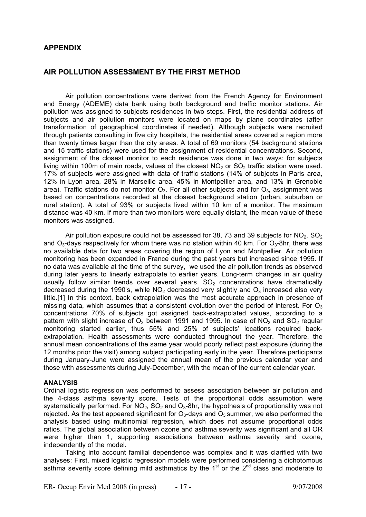# **APPENDIX**

# **AIR POLLUTION ASSESSMENT BY THE FIRST METHOD**

Air pollution concentrations were derived from the French Agency for Environment and Energy (ADEME) data bank using both background and traffic monitor stations. Air pollution was assigned to subjects residences in two steps. First, the residential address of subjects and air pollution monitors were located on maps by plane coordinates (after transformation of geographical coordinates if needed). Although subjects were recruited through patients consulting in five city hospitals, the residential areas covered a region more than twenty times larger than the city areas. A total of 69 monitors (54 background stations and 15 traffic stations) were used for the assignment of residential concentrations. Second, assignment of the closest monitor to each residence was done in two ways: for subjects living within 100m of main roads, values of the closest  $NO<sub>2</sub>$  or  $SO<sub>2</sub>$  traffic station were used. 17% of subjects were assigned with data of traffic stations (14% of subjects in Paris area, 12% in Lyon area, 28% in Marseille area, 45% in Montpellier area, and 13% in Grenoble area). Traffic stations do not monitor  $O_3$ . For all other subjects and for  $O_3$ , assignment was based on concentrations recorded at the closest background station (urban, suburban or rural station). A total of 93% or subjects lived within 10 km of a monitor. The maximum distance was 40 km. If more than two monitors were equally distant, the mean value of these monitors was assigned.

Air pollution exposure could not be assessed for 38, 73 and 39 subjects for  $NO_2$ ,  $SO_2$ and  $O_3$ -days respectively for whom there was no station within 40 km. For  $O_3$ -8hr, there was no available data for two areas covering the region of Lyon and Montpellier. Air pollution monitoring has been expanded in France during the past years but increased since 1995. If no data was available at the time of the survey, we used the air pollution trends as observed during later years to linearly extrapolate to earlier years. Long-term changes in air quality usually follow similar trends over several years.  $SO<sub>2</sub>$  concentrations have dramatically decreased during the 1990's, while  $NO<sub>2</sub>$  decreased very slightly and  $O<sub>3</sub>$  increased also very little.[1] In this context, back extrapolation was the most accurate approach in presence of missing data, which assumes that a consistent evolution over the period of interest. For  $O_3$ concentrations 70% of subjects got assigned back-extrapolated values, according to a pattern with slight increase of  $O_3$  between 1991 and 1995. In case of NO<sub>2</sub> and SO<sub>2</sub> regular monitoring started earlier, thus 55% and 25% of subjects' locations required backextrapolation. Health assessments were conducted throughout the year. Therefore, the annual mean concentrations of the same year would poorly reflect past exposure (during the 12 months prior the visit) among subject participating early in the year. Therefore participants during January-June were assigned the annual mean of the previous calendar year and those with assessments during July-December, with the mean of the current calendar year.

#### **ANALYSIS**

Ordinal logistic regression was performed to assess association between air pollution and the 4-class asthma severity score. Tests of the proportional odds assumption were systematically performed. For  $NO<sub>2</sub>$ ,  $SO<sub>2</sub>$  and  $O<sub>3</sub>$ -8hr, the hypothesis of proportionality was not rejected. As the test appeared significant for  $O_3$ -days and  $O_3$  summer, we also performed the analysis based using multinomial regression, which does not assume proportional odds ratios. The global association between ozone and asthma severity was significant and all OR were higher than 1, supporting associations between asthma severity and ozone, independently of the model.

Taking into account familial dependence was complex and it was clarified with two analyses: First, mixed logistic regression models were performed considering a dichotomous asthma severity score defining mild asthmatics by the  $1<sup>st</sup>$  or the  $2<sup>nd</sup>$  class and moderate to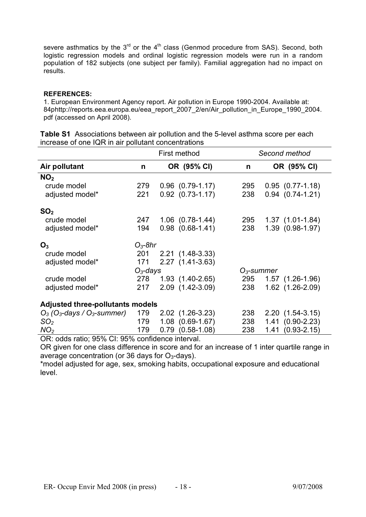severe asthmatics by the  $3<sup>rd</sup>$  or the  $4<sup>th</sup>$  class (Genmod procedure from SAS). Second, both logistic regression models and ordinal logistic regression models were run in a random population of 182 subjects (one subject per family). Familial aggregation had no impact on results.

# **REFERENCES:**

1. European Environment Agency report. Air pollution in Europe 1990-2004. Available at: 84phttp://reports.eea.europa.eu/eea\_report\_2007\_2/en/Air\_pollution\_in\_Europe\_1990\_2004. pdf (accessed on April 2008).

|                                                       | First method |                         |               | Second method           |  |  |
|-------------------------------------------------------|--------------|-------------------------|---------------|-------------------------|--|--|
| Air pollutant                                         | n            | OR (95% CI)             | n             | OR (95% CI)             |  |  |
| NO <sub>2</sub>                                       |              |                         |               |                         |  |  |
| crude model                                           | 279          | $0.96$ $(0.79-1.17)$    | 295           | $0.95$ $(0.77-1.18)$    |  |  |
| adjusted model*                                       | 221          | $0.92$ $(0.73 - 1.17)$  | 238           | $0.94$ $(0.74 - 1.21)$  |  |  |
| SO <sub>2</sub>                                       |              |                         |               |                         |  |  |
| crude model                                           | 247          | $1.06$ $(0.78-1.44)$    | 295           | $1.37(1.01-1.84)$       |  |  |
| adjusted model*                                       | 194          | $0.98$ $(0.68-1.41)$    | 238           | 1.39 (0.98-1.97)        |  |  |
| $O_3$                                                 | $O_3$ -8hr   |                         |               |                         |  |  |
| crude model                                           | 201          | 2.21 (1.48-3.33)        |               |                         |  |  |
| adjusted model*                                       | 171          | 2.27 (1.41-3.63)        |               |                         |  |  |
|                                                       | $O_3$ -days  |                         | $O_3$ -summer |                         |  |  |
| crude model                                           | 278          | $1.93(1.40-2.65)$       | 295           | $1.57$ $(1.26-1.96)$    |  |  |
| adjusted model*                                       | 217          | 2.09 (1.42-3.09)        | 238           | 1.62 (1.26-2.09)        |  |  |
| <b>Adjusted three-pollutants models</b>               |              |                         |               |                         |  |  |
| $O_3$ (O <sub>3</sub> -days / O <sub>3</sub> -summer) | 179          | 2.02 (1.26-3.23)        | 238           | $2.20(1.54-3.15)$       |  |  |
| SO <sub>2</sub>                                       | 179          | $1.08$ $(0.69-1.67)$    | 238           | $1.41(0.90-2.23)$       |  |  |
| NO <sub>2</sub>                                       | 179          | $(0.58 - 1.08)$<br>0.79 | 238           | $(0.93 - 2.15)$<br>1.41 |  |  |

**Table S1** Associations between air pollution and the 5-level asthma score per each increase of one IQR in air pollutant concentrations

OR: odds ratio; 95% CI: 95% confidence interval.

OR given for one class difference in score and for an increase of 1 inter quartile range in average concentration (or 36 days for  $O<sub>3</sub>$ -days).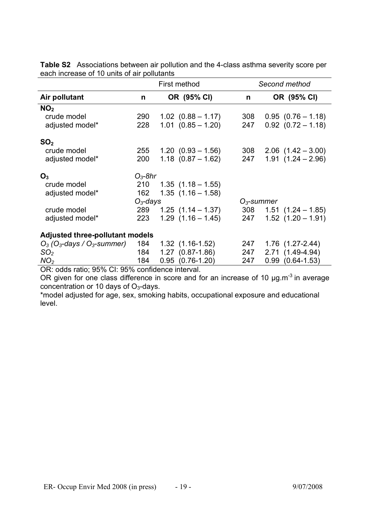|                                                       | First method |  |                        | Second method |                         |  |
|-------------------------------------------------------|--------------|--|------------------------|---------------|-------------------------|--|
| Air pollutant                                         | n            |  | OR (95% CI)            | n             | OR (95% CI)             |  |
| NO <sub>2</sub>                                       |              |  |                        |               |                         |  |
| crude model                                           | 290          |  | $1.02$ $(0.88 - 1.17)$ | 308           | $0.95(0.76 - 1.18)$     |  |
| adjusted model*                                       | 228          |  | $1.01$ $(0.85 - 1.20)$ | 247           | $0.92$ $(0.72 - 1.18)$  |  |
| SO <sub>2</sub>                                       |              |  |                        |               |                         |  |
| crude model                                           | 255          |  | $1.20$ $(0.93 - 1.56)$ | 308           | $2.06$ $(1.42 - 3.00)$  |  |
| adjusted model*                                       | 200          |  | $1.18$ $(0.87 - 1.62)$ | 247           | $1.91(1.24 - 2.96)$     |  |
| $O_3$                                                 | $O_3$ -8hr   |  |                        |               |                         |  |
| crude model                                           | 210          |  | $1.35$ $(1.18 - 1.55)$ |               |                         |  |
| adjusted model*                                       | 162          |  | $1.35(1.16 - 1.58)$    |               |                         |  |
|                                                       | $O_3$ -days  |  |                        | $O_3$ -summer |                         |  |
| crude model                                           | 289          |  | $1.25$ $(1.14 - 1.37)$ | 308           | $1.51$ $(1.24 - 1.85)$  |  |
| adjusted model*                                       | 223          |  | $1.29(1.16 - 1.45)$    | 247           | $1.52$ $(1.20 - 1.91)$  |  |
| <b>Adjusted three-pollutant models</b>                |              |  |                        |               |                         |  |
| $O_3$ (O <sub>3</sub> -days / O <sub>3</sub> -summer) | 184          |  | $1.32$ $(1.16-1.52)$   | 247           | $1.76$ $(1.27-2.44)$    |  |
| SO <sub>2</sub>                                       | 184          |  | 1.27 (0.87-1.86)       | 247           | 2.71 (1.49-4.94)        |  |
| NO <sub>2</sub>                                       | 184          |  | $0.95$ $(0.76-1.20)$   | 247           | $(0.64 - 1.53)$<br>0.99 |  |

**Table S2** Associations between air pollution and the 4-class asthma severity score per each increase of 10 units of air pollutants

OR: odds ratio; 95% CI: 95% confidence interval.

OR given for one class difference in score and for an increase of 10 µg.m<sup>-3</sup> in average concentration or 10 days of  $O<sub>3</sub>$ -days.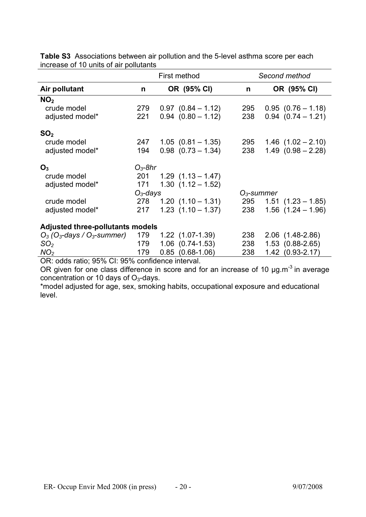|                                                       |             | First method            | Second method |                        |  |
|-------------------------------------------------------|-------------|-------------------------|---------------|------------------------|--|
| Air pollutant                                         | n           | OR (95% CI)             | n             | OR (95% CI)            |  |
| NO <sub>2</sub>                                       |             |                         |               |                        |  |
| crude model                                           | 279         | $0.97$ $(0.84 - 1.12)$  | 295           | $0.95$ $(0.76 - 1.18)$ |  |
| adjusted model*                                       | 221         | $0.94$ $(0.80 - 1.12)$  | 238           | $0.94$ $(0.74 - 1.21)$ |  |
| SO <sub>2</sub>                                       |             |                         |               |                        |  |
| crude model                                           | 247         | $1.05$ $(0.81 - 1.35)$  | 295           | $1.46$ $(1.02 - 2.10)$ |  |
| adjusted model*                                       | 194         | $0.98$ $(0.73 - 1.34)$  | 238           | $1.49(0.98 - 2.28)$    |  |
| O <sub>3</sub>                                        | $O_3$ -8hr  |                         |               |                        |  |
| crude model                                           | 201         | $1.29$ $(1.13 - 1.47)$  |               |                        |  |
| adjusted model*                                       | 171         | $1.30(1.12 - 1.52)$     |               |                        |  |
|                                                       | $O_3$ -days |                         | $O_3$ -summer |                        |  |
| crude model                                           | 278         | $1.20(1.10 - 1.31)$     | 295           | $1.51(1.23 - 1.85)$    |  |
| adjusted model*                                       | 217         | $1.23$ $(1.10 - 1.37)$  | 238           | $1.56$ $(1.24 - 1.96)$ |  |
| <b>Adjusted three-pollutants models</b>               |             |                         |               |                        |  |
| $O_3$ (O <sub>3</sub> -days / O <sub>3</sub> -summer) | 179         | $1.22$ $(1.07-1.39)$    | 238           | $2.06$ $(1.48-2.86)$   |  |
| SO <sub>2</sub>                                       | 179         | $1.06$ $(0.74-1.53)$    | 238           | 1.53 (0.88-2.65)       |  |
| NO <sub>2</sub>                                       | 179         | $(0.68 - 1.06)$<br>0.85 | 238           | 1.42 (0.93-2.17)       |  |

**Table S3** Associations between air pollution and the 5-level asthma score per each increase of 10 units of air pollutants

OR: odds ratio; 95% CI: 95% confidence interval.

OR given for one class difference in score and for an increase of 10  $\mu$ g.m<sup>-3</sup> in average concentration or 10 days of  $O<sub>3</sub>$ -days.